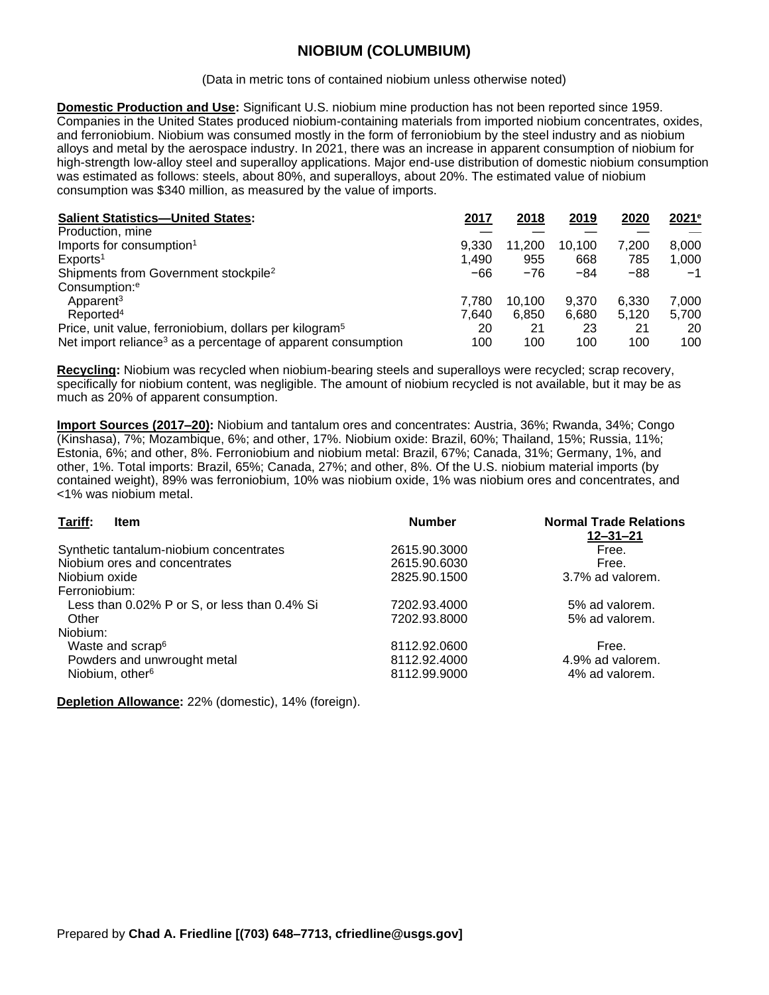## **NIOBIUM (COLUMBIUM)**

(Data in metric tons of contained niobium unless otherwise noted)

**Domestic Production and Use:** Significant U.S. niobium mine production has not been reported since 1959. Companies in the United States produced niobium-containing materials from imported niobium concentrates, oxides, and ferroniobium. Niobium was consumed mostly in the form of ferroniobium by the steel industry and as niobium alloys and metal by the aerospace industry. In 2021, there was an increase in apparent consumption of niobium for high-strength low-alloy steel and superalloy applications. Major end-use distribution of domestic niobium consumption was estimated as follows: steels, about 80%, and superalloys, about 20%. The estimated value of niobium consumption was \$340 million, as measured by the value of imports.

| <b>Salient Statistics-United States:</b>                                 | 2017  | 2018   | 2019   | 2020  | 2021e |
|--------------------------------------------------------------------------|-------|--------|--------|-------|-------|
| Production, mine                                                         |       |        |        |       |       |
| Imports for consumption <sup>1</sup>                                     | 9.330 | 11.200 | 10.100 | 7.200 | 8.000 |
| Exports <sup>1</sup>                                                     | 1.490 | 955    | 668    | 785   | 1.000 |
| Shipments from Government stockpile <sup>2</sup>                         | -66   | $-76$  | $-84$  | $-88$ | -1    |
| Consumption: <sup>e</sup>                                                |       |        |        |       |       |
| Apparent <sup>3</sup>                                                    | 7.780 | 10.100 | 9.370  | 6.330 | 7.000 |
| Reported <sup>4</sup>                                                    | 7.640 | 6.850  | 6.680  | 5.120 | 5.700 |
| Price, unit value, ferroniobium, dollars per kilogram <sup>5</sup>       | 20    | 21     | 23     | 21    | 20    |
| Net import reliance <sup>3</sup> as a percentage of apparent consumption | 100   | 100    | 100    | 100   | 100   |

**Recycling:** Niobium was recycled when niobium-bearing steels and superalloys were recycled; scrap recovery, specifically for niobium content, was negligible. The amount of niobium recycled is not available, but it may be as much as 20% of apparent consumption.

**Import Sources (2017–20):** Niobium and tantalum ores and concentrates: Austria, 36%; Rwanda, 34%; Congo (Kinshasa), 7%; Mozambique, 6%; and other, 17%. Niobium oxide: Brazil, 60%; Thailand, 15%; Russia, 11%; Estonia, 6%; and other, 8%. Ferroniobium and niobium metal: Brazil, 67%; Canada, 31%; Germany, 1%, and other, 1%. Total imports: Brazil, 65%; Canada, 27%; and other, 8%. Of the U.S. niobium material imports (by contained weight), 89% was ferroniobium, 10% was niobium oxide, 1% was niobium ores and concentrates, and <1% was niobium metal.

| Tariff:<br><b>Item</b>                       | <b>Number</b> | <b>Normal Trade Relations</b><br>$12 - 31 - 21$ |
|----------------------------------------------|---------------|-------------------------------------------------|
| Synthetic tantalum-niobium concentrates      | 2615.90.3000  | Free.                                           |
| Niobium ores and concentrates                | 2615.90.6030  | Free.                                           |
| Niobium oxide                                | 2825.90.1500  | 3.7% ad valorem.                                |
| Ferroniobium:                                |               |                                                 |
| Less than 0.02% P or S, or less than 0.4% Si | 7202.93.4000  | 5% ad valorem.                                  |
| Other                                        | 7202.93.8000  | 5% ad valorem.                                  |
| Niobium:                                     |               |                                                 |
| Waste and scrap <sup>6</sup>                 | 8112.92.0600  | Free.                                           |
| Powders and unwrought metal                  | 8112.92.4000  | 4.9% ad valorem.                                |
| Niobium, other <sup>6</sup>                  | 8112.99.9000  | 4% ad valorem.                                  |

**Depletion Allowance:** 22% (domestic), 14% (foreign).